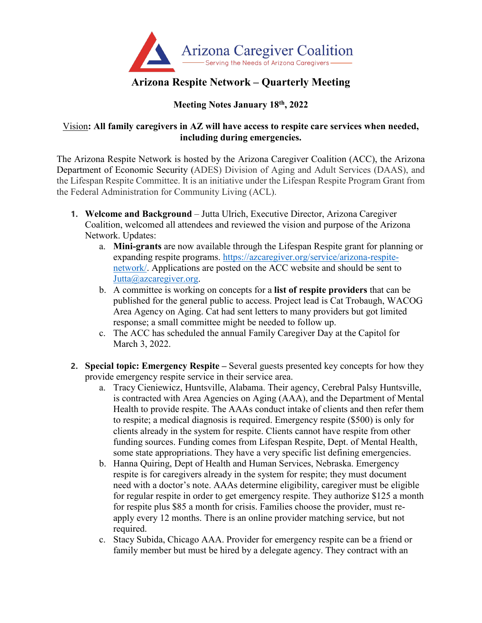

## **Arizona Respite Network – Quarterly Meeting**

## **Meeting Notes January 18th, 2022**

## Vision**: All family caregivers in AZ will have access to respite care services when needed, including during emergencies.**

The Arizona Respite Network is hosted by the Arizona Caregiver Coalition (ACC), the Arizona Department of Economic Security (ADES) Division of Aging and Adult Services (DAAS), and the Lifespan Respite Committee. It is an initiative under the Lifespan Respite Program Grant from the Federal Administration for Community Living (ACL).

- **1. Welcome and Background** Jutta Ulrich, Executive Director, Arizona Caregiver Coalition, welcomed all attendees and reviewed the vision and purpose of the Arizona Network. Updates:
	- a. **Mini-grants** are now available through the Lifespan Respite grant for planning or expanding respite programs. [https://azcaregiver.org/service/arizona-respite](https://azcaregiver.org/service/arizona-respite-network/)[network/.](https://azcaregiver.org/service/arizona-respite-network/) Applications are posted on the ACC website and should be sent to [Jutta@azcaregiver.org.](mailto:Jutta@azcaregiver.org)
	- b. A committee is working on concepts for a **list of respite providers** that can be published for the general public to access. Project lead is Cat Trobaugh, WACOG Area Agency on Aging. Cat had sent letters to many providers but got limited response; a small committee might be needed to follow up.
	- c. The ACC has scheduled the annual Family Caregiver Day at the Capitol for March 3, 2022.
- **2. Special topic: Emergency Respite –** Several guests presented key concepts for how they provide emergency respite service in their service area.
	- a. Tracy Cieniewicz, Huntsville, Alabama. Their agency, Cerebral Palsy Huntsville, is contracted with Area Agencies on Aging (AAA), and the Department of Mental Health to provide respite. The AAAs conduct intake of clients and then refer them to respite; a medical diagnosis is required. Emergency respite (\$500) is only for clients already in the system for respite. Clients cannot have respite from other funding sources. Funding comes from Lifespan Respite, Dept. of Mental Health, some state appropriations. They have a very specific list defining emergencies.
	- b. Hanna Quiring, Dept of Health and Human Services, Nebraska. Emergency respite is for caregivers already in the system for respite; they must document need with a doctor's note. AAAs determine eligibility, caregiver must be eligible for regular respite in order to get emergency respite. They authorize \$125 a month for respite plus \$85 a month for crisis. Families choose the provider, must reapply every 12 months. There is an online provider matching service, but not required.
	- c. Stacy Subida, Chicago AAA. Provider for emergency respite can be a friend or family member but must be hired by a delegate agency. They contract with an